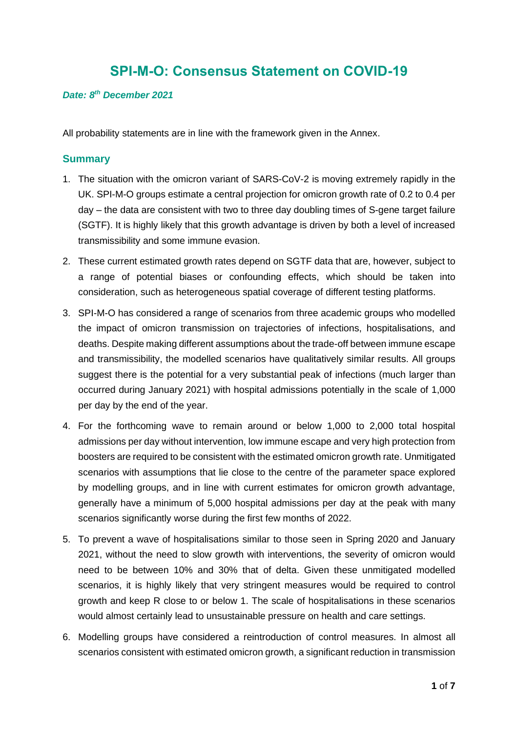# **SPI-M-O: Consensus Statement on COVID-19**

#### *Date: 8 th December 2021*

All probability statements are in line with the framework given in the Annex.

#### **Summary**

- 1. The situation with the omicron variant of SARS-CoV-2 is moving extremely rapidly in the UK. SPI-M-O groups estimate a central projection for omicron growth rate of 0.2 to 0.4 per day – the data are consistent with two to three day doubling times of S-gene target failure (SGTF). It is highly likely that this growth advantage is driven by both a level of increased transmissibility and some immune evasion.
- 2. These current estimated growth rates depend on SGTF data that are, however, subject to a range of potential biases or confounding effects, which should be taken into consideration, such as heterogeneous spatial coverage of different testing platforms.
- 3. SPI-M-O has considered a range of scenarios from three academic groups who modelled the impact of omicron transmission on trajectories of infections, hospitalisations, and deaths. Despite making different assumptions about the trade-off between immune escape and transmissibility, the modelled scenarios have qualitatively similar results. All groups suggest there is the potential for a very substantial peak of infections (much larger than occurred during January 2021) with hospital admissions potentially in the scale of 1,000 per day by the end of the year.
- 4. For the forthcoming wave to remain around or below 1,000 to 2,000 total hospital admissions per day without intervention, low immune escape and very high protection from boosters are required to be consistent with the estimated omicron growth rate. Unmitigated scenarios with assumptions that lie close to the centre of the parameter space explored by modelling groups, and in line with current estimates for omicron growth advantage, generally have a minimum of 5,000 hospital admissions per day at the peak with many scenarios significantly worse during the first few months of 2022.
- 5. To prevent a wave of hospitalisations similar to those seen in Spring 2020 and January 2021, without the need to slow growth with interventions, the severity of omicron would need to be between 10% and 30% that of delta. Given these unmitigated modelled scenarios, it is highly likely that very stringent measures would be required to control growth and keep R close to or below 1. The scale of hospitalisations in these scenarios would almost certainly lead to unsustainable pressure on health and care settings.
- 6. Modelling groups have considered a reintroduction of control measures. In almost all scenarios consistent with estimated omicron growth, a significant reduction in transmission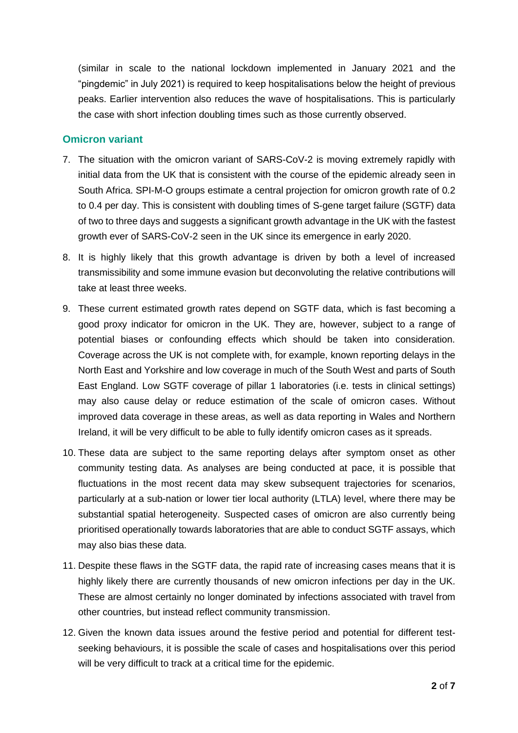(similar in scale to the national lockdown implemented in January 2021 and the "pingdemic" in July 2021) is required to keep hospitalisations below the height of previous peaks. Earlier intervention also reduces the wave of hospitalisations. This is particularly the case with short infection doubling times such as those currently observed.

## **Omicron variant**

- 7. The situation with the omicron variant of SARS-CoV-2 is moving extremely rapidly with initial data from the UK that is consistent with the course of the epidemic already seen in South Africa. SPI-M-O groups estimate a central projection for omicron growth rate of 0.2 to 0.4 per day. This is consistent with doubling times of S-gene target failure (SGTF) data of two to three days and suggests a significant growth advantage in the UK with the fastest growth ever of SARS-CoV-2 seen in the UK since its emergence in early 2020.
- 8. It is highly likely that this growth advantage is driven by both a level of increased transmissibility and some immune evasion but deconvoluting the relative contributions will take at least three weeks.
- 9. These current estimated growth rates depend on SGTF data, which is fast becoming a good proxy indicator for omicron in the UK. They are, however, subject to a range of potential biases or confounding effects which should be taken into consideration. Coverage across the UK is not complete with, for example, known reporting delays in the North East and Yorkshire and low coverage in much of the South West and parts of South East England. Low SGTF coverage of pillar 1 laboratories (i.e. tests in clinical settings) may also cause delay or reduce estimation of the scale of omicron cases. Without improved data coverage in these areas, as well as data reporting in Wales and Northern Ireland, it will be very difficult to be able to fully identify omicron cases as it spreads.
- 10. These data are subject to the same reporting delays after symptom onset as other community testing data. As analyses are being conducted at pace, it is possible that fluctuations in the most recent data may skew subsequent trajectories for scenarios, particularly at a sub-nation or lower tier local authority (LTLA) level, where there may be substantial spatial heterogeneity. Suspected cases of omicron are also currently being prioritised operationally towards laboratories that are able to conduct SGTF assays, which may also bias these data.
- 11. Despite these flaws in the SGTF data, the rapid rate of increasing cases means that it is highly likely there are currently thousands of new omicron infections per day in the UK. These are almost certainly no longer dominated by infections associated with travel from other countries, but instead reflect community transmission.
- 12. Given the known data issues around the festive period and potential for different testseeking behaviours, it is possible the scale of cases and hospitalisations over this period will be very difficult to track at a critical time for the epidemic.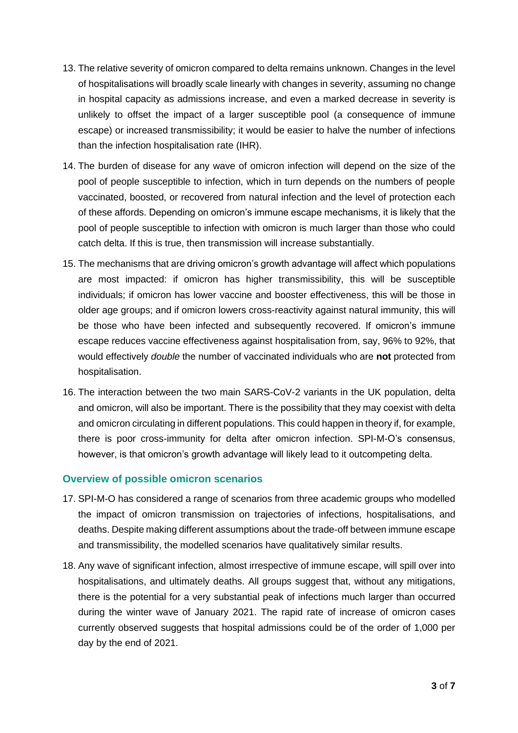- 13. The relative severity of omicron compared to delta remains unknown. Changes in the level of hospitalisations will broadly scale linearly with changes in severity, assuming no change in hospital capacity as admissions increase, and even a marked decrease in severity is unlikely to offset the impact of a larger susceptible pool (a consequence of immune escape) or increased transmissibility; it would be easier to halve the number of infections than the infection hospitalisation rate (IHR).
- 14. The burden of disease for any wave of omicron infection will depend on the size of the pool of people susceptible to infection, which in turn depends on the numbers of people vaccinated, boosted, or recovered from natural infection and the level of protection each of these affords. Depending on omicron's immune escape mechanisms, it is likely that the pool of people susceptible to infection with omicron is much larger than those who could catch delta. If this is true, then transmission will increase substantially.
- 15. The mechanisms that are driving omicron's growth advantage will affect which populations are most impacted: if omicron has higher transmissibility, this will be susceptible individuals; if omicron has lower vaccine and booster effectiveness, this will be those in older age groups; and if omicron lowers cross-reactivity against natural immunity, this will be those who have been infected and subsequently recovered. If omicron's immune escape reduces vaccine effectiveness against hospitalisation from, say, 96% to 92%, that would effectively *double* the number of vaccinated individuals who are **not** protected from hospitalisation.
- 16. The interaction between the two main SARS-CoV-2 variants in the UK population, delta and omicron, will also be important. There is the possibility that they may coexist with delta and omicron circulating in different populations. This could happen in theory if, for example, there is poor cross-immunity for delta after omicron infection. SPI-M-O's consensus, however, is that omicron's growth advantage will likely lead to it outcompeting delta.

## **Overview of possible omicron scenarios**

- 17. SPI-M-O has considered a range of scenarios from three academic groups who modelled the impact of omicron transmission on trajectories of infections, hospitalisations, and deaths. Despite making different assumptions about the trade-off between immune escape and transmissibility, the modelled scenarios have qualitatively similar results.
- 18. Any wave of significant infection, almost irrespective of immune escape, will spill over into hospitalisations, and ultimately deaths. All groups suggest that, without any mitigations, there is the potential for a very substantial peak of infections much larger than occurred during the winter wave of January 2021. The rapid rate of increase of omicron cases currently observed suggests that hospital admissions could be of the order of 1,000 per day by the end of 2021.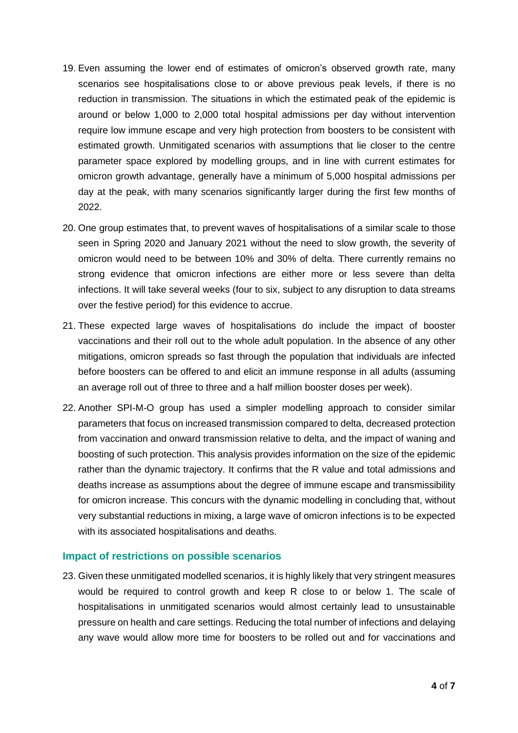- 19. Even assuming the lower end of estimates of omicron's observed growth rate, many scenarios see hospitalisations close to or above previous peak levels, if there is no reduction in transmission. The situations in which the estimated peak of the epidemic is around or below 1,000 to 2,000 total hospital admissions per day without intervention require low immune escape and very high protection from boosters to be consistent with estimated growth. Unmitigated scenarios with assumptions that lie closer to the centre parameter space explored by modelling groups, and in line with current estimates for omicron growth advantage, generally have a minimum of 5,000 hospital admissions per day at the peak, with many scenarios significantly larger during the first few months of 2022.
- 20. One group estimates that, to prevent waves of hospitalisations of a similar scale to those seen in Spring 2020 and January 2021 without the need to slow growth, the severity of omicron would need to be between 10% and 30% of delta. There currently remains no strong evidence that omicron infections are either more or less severe than delta infections. It will take several weeks (four to six, subject to any disruption to data streams over the festive period) for this evidence to accrue.
- 21. These expected large waves of hospitalisations do include the impact of booster vaccinations and their roll out to the whole adult population. In the absence of any other mitigations, omicron spreads so fast through the population that individuals are infected before boosters can be offered to and elicit an immune response in all adults (assuming an average roll out of three to three and a half million booster doses per week).
- 22. Another SPI-M-O group has used a simpler modelling approach to consider similar parameters that focus on increased transmission compared to delta, decreased protection from vaccination and onward transmission relative to delta, and the impact of waning and boosting of such protection. This analysis provides information on the size of the epidemic rather than the dynamic trajectory. It confirms that the R value and total admissions and deaths increase as assumptions about the degree of immune escape and transmissibility for omicron increase. This concurs with the dynamic modelling in concluding that, without very substantial reductions in mixing, a large wave of omicron infections is to be expected with its associated hospitalisations and deaths.

#### **Impact of restrictions on possible scenarios**

23. Given these unmitigated modelled scenarios, it is highly likely that very stringent measures would be required to control growth and keep R close to or below 1. The scale of hospitalisations in unmitigated scenarios would almost certainly lead to unsustainable pressure on health and care settings. Reducing the total number of infections and delaying any wave would allow more time for boosters to be rolled out and for vaccinations and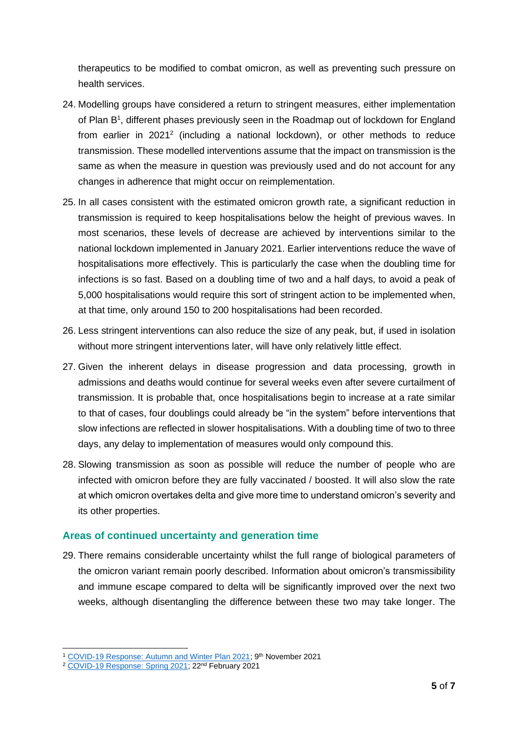therapeutics to be modified to combat omicron, as well as preventing such pressure on health services.

- 24. Modelling groups have considered a return to stringent measures, either implementation of Plan B<sup>1</sup>, different phases previously seen in the Roadmap out of lockdown for England from earlier in  $2021^2$  (including a national lockdown), or other methods to reduce transmission. These modelled interventions assume that the impact on transmission is the same as when the measure in question was previously used and do not account for any changes in adherence that might occur on reimplementation.
- 25. In all cases consistent with the estimated omicron growth rate, a significant reduction in transmission is required to keep hospitalisations below the height of previous waves. In most scenarios, these levels of decrease are achieved by interventions similar to the national lockdown implemented in January 2021. Earlier interventions reduce the wave of hospitalisations more effectively. This is particularly the case when the doubling time for infections is so fast. Based on a doubling time of two and a half days, to avoid a peak of 5,000 hospitalisations would require this sort of stringent action to be implemented when, at that time, only around 150 to 200 hospitalisations had been recorded.
- 26. Less stringent interventions can also reduce the size of any peak, but, if used in isolation without more stringent interventions later, will have only relatively little effect.
- 27. Given the inherent delays in disease progression and data processing, growth in admissions and deaths would continue for several weeks even after severe curtailment of transmission. It is probable that, once hospitalisations begin to increase at a rate similar to that of cases, four doublings could already be "in the system" before interventions that slow infections are reflected in slower hospitalisations. With a doubling time of two to three days, any delay to implementation of measures would only compound this.
- 28. Slowing transmission as soon as possible will reduce the number of people who are infected with omicron before they are fully vaccinated / boosted. It will also slow the rate at which omicron overtakes delta and give more time to understand omicron's severity and its other properties.

## **Areas of continued uncertainty and generation time**

29. There remains considerable uncertainty whilst the full range of biological parameters of the omicron variant remain poorly described. Information about omicron's transmissibility and immune escape compared to delta will be significantly improved over the next two weeks, although disentangling the difference between these two may take longer. The

<sup>&</sup>lt;sup>1</sup> [COVID-19 Response: Autumn and Winter Plan 2021;](https://www.gov.uk/government/publications/covid-19-response-autumn-and-winter-plan-2021/covid-19-response-autumn-and-winter-plan-2021) 9<sup>th</sup> November 2021

<sup>&</sup>lt;sup>2</sup> [COVID-19 Response: Spring 2021;](https://www.gov.uk/government/publications/covid-19-response-spring-2021/covid-19-response-spring-2021-summary) 22<sup>nd</sup> February 2021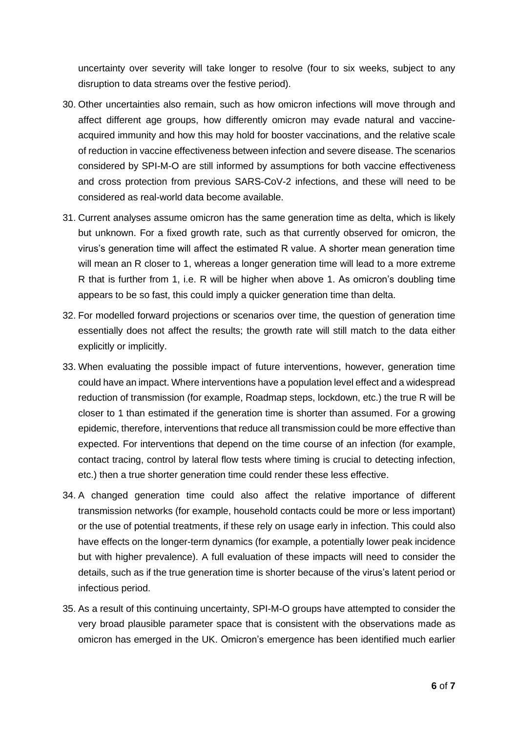uncertainty over severity will take longer to resolve (four to six weeks, subject to any disruption to data streams over the festive period).

- 30. Other uncertainties also remain, such as how omicron infections will move through and affect different age groups, how differently omicron may evade natural and vaccineacquired immunity and how this may hold for booster vaccinations, and the relative scale of reduction in vaccine effectiveness between infection and severe disease. The scenarios considered by SPI-M-O are still informed by assumptions for both vaccine effectiveness and cross protection from previous SARS-CoV-2 infections, and these will need to be considered as real-world data become available.
- 31. Current analyses assume omicron has the same generation time as delta, which is likely but unknown. For a fixed growth rate, such as that currently observed for omicron, the virus's generation time will affect the estimated R value. A shorter mean generation time will mean an R closer to 1, whereas a longer generation time will lead to a more extreme R that is further from 1, i.e. R will be higher when above 1. As omicron's doubling time appears to be so fast, this could imply a quicker generation time than delta.
- 32. For modelled forward projections or scenarios over time, the question of generation time essentially does not affect the results; the growth rate will still match to the data either explicitly or implicitly.
- 33. When evaluating the possible impact of future interventions, however, generation time could have an impact. Where interventions have a population level effect and a widespread reduction of transmission (for example, Roadmap steps, lockdown, etc.) the true R will be closer to 1 than estimated if the generation time is shorter than assumed. For a growing epidemic, therefore, interventions that reduce all transmission could be more effective than expected. For interventions that depend on the time course of an infection (for example, contact tracing, control by lateral flow tests where timing is crucial to detecting infection, etc.) then a true shorter generation time could render these less effective.
- 34. A changed generation time could also affect the relative importance of different transmission networks (for example, household contacts could be more or less important) or the use of potential treatments, if these rely on usage early in infection. This could also have effects on the longer-term dynamics (for example, a potentially lower peak incidence but with higher prevalence). A full evaluation of these impacts will need to consider the details, such as if the true generation time is shorter because of the virus's latent period or infectious period.
- 35. As a result of this continuing uncertainty, SPI-M-O groups have attempted to consider the very broad plausible parameter space that is consistent with the observations made as omicron has emerged in the UK. Omicron's emergence has been identified much earlier